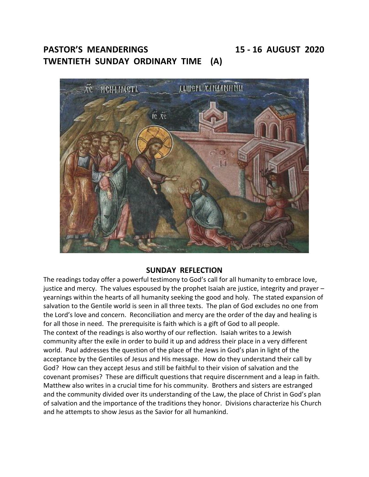**PASTOR'S MEANDERINGS 15 - 16 AUGUST 2020**

**TWENTIETH SUNDAY ORDINARY TIME (A)**



# **SUNDAY REFLECTION**

The readings today offer a powerful testimony to God's call for all humanity to embrace love, justice and mercy. The values espoused by the prophet Isaiah are justice, integrity and prayer – yearnings within the hearts of all humanity seeking the good and holy. The stated expansion of salvation to the Gentile world is seen in all three texts. The plan of God excludes no one from the Lord's love and concern. Reconciliation and mercy are the order of the day and healing is for all those in need. The prerequisite is faith which is a gift of God to all people. The context of the readings is also worthy of our reflection. Isaiah writes to a Jewish community after the exile in order to build it up and address their place in a very different world. Paul addresses the question of the place of the Jews in God's plan in light of the acceptance by the Gentiles of Jesus and His message. How do they understand their call by God? How can they accept Jesus and still be faithful to their vision of salvation and the covenant promises? These are difficult questions that require discernment and a leap in faith. Matthew also writes in a crucial time for his community. Brothers and sisters are estranged and the community divided over its understanding of the Law, the place of Christ in God's plan of salvation and the importance of the traditions they honor. Divisions characterize his Church and he attempts to show Jesus as the Savior for all humankind.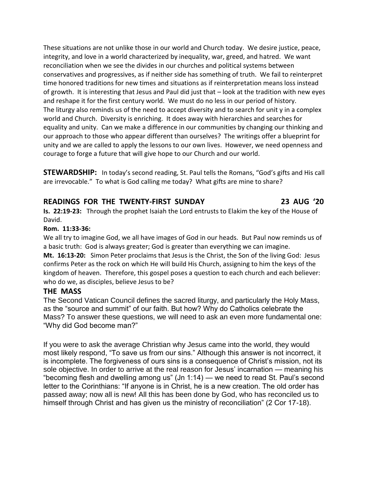These situations are not unlike those in our world and Church today. We desire justice, peace, integrity, and love in a world characterized by inequality, war, greed, and hatred. We want reconciliation when we see the divides in our churches and political systems between conservatives and progressives, as if neither side has something of truth. We fail to reinterpret time honored traditions for new times and situations as if reinterpretation means loss instead of growth. It is interesting that Jesus and Paul did just that – look at the tradition with new eyes and reshape it for the first century world. We must do no less in our period of history. The liturgy also reminds us of the need to accept diversity and to search for unit  $y$  in a complex world and Church. Diversity is enriching. It does away with hierarchies and searches for equality and unity. Can we make a difference in our communities by changing our thinking and our approach to those who appear different than ourselves? The writings offer a blueprint for unity and we are called to apply the lessons to our own lives. However, we need openness and courage to forge a future that will give hope to our Church and our world.

**STEWARDSHIP:** In today's second reading, St. Paul tells the Romans, "God's gifts and His call are irrevocable." To what is God calling me today? What gifts are mine to share?

# **READINGS FOR THE TWENTY-FIRST SUNDAY 23 AUG '20**

**Is. 22:19-23:** Through the prophet Isaiah the Lord entrusts to Elakim the key of the House of David.

# **Rom. 11:33-36:**

We all try to imagine God, we all have images of God in our heads. But Paul now reminds us of a basic truth: God is always greater; God is greater than everything we can imagine. **Mt. 16:13-20:** Simon Peter proclaims that Jesus is the Christ, the Son of the living God: Jesus confirms Peter as the rock on which He will build His Church, assigning to him the keys of the kingdom of heaven. Therefore, this gospel poses a question to each church and each believer: who do we, as disciples, believe Jesus to be?

# **THE MASS**

The Second Vatican Council defines the sacred liturgy, and particularly the Holy Mass, as the "source and summit" of our faith. But how? Why do Catholics celebrate the Mass? To answer these questions, we will need to ask an even more fundamental one: "Why did God become man?"

If you were to ask the average Christian why Jesus came into the world, they would most likely respond, "To save us from our sins." Although this answer is not incorrect, it is incomplete. The forgiveness of ours sins is a consequence of Christ's mission, not its sole objective. In order to arrive at the real reason for Jesus' incarnation — meaning his "becoming flesh and dwelling among us" (Jn 1:14) — we need to read St. Paul's second letter to the Corinthians: "If anyone is in Christ, he is a new creation. The old order has passed away; now all is new! All this has been done by God, who has reconciled us to himself through Christ and has given us the ministry of reconciliation" (2 Cor 17-18).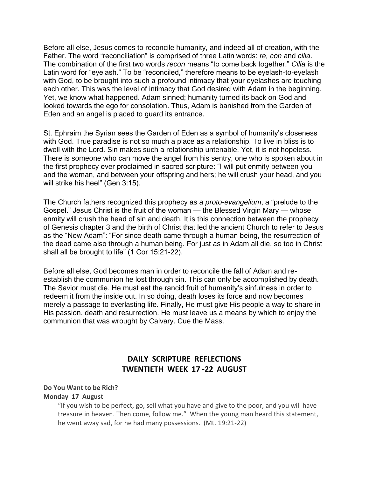Before all else, Jesus comes to reconcile humanity, and indeed all of creation, with the Father. The word "reconciliation" is comprised of three Latin words: *re, con* and *cilia*. The combination of the first two words *recon* means "to come back together." *Cilia* is the Latin word for "eyelash." To be "reconciled," therefore means to be eyelash-to-eyelash with God, to be brought into such a profound intimacy that your eyelashes are touching each other. This was the level of intimacy that God desired with Adam in the beginning. Yet, we know what happened. Adam sinned; humanity turned its back on God and looked towards the ego for consolation. Thus, Adam is banished from the Garden of Eden and an angel is placed to guard its entrance.

St. Ephraim the Syrian sees the Garden of Eden as a symbol of humanity's closeness with God. True paradise is not so much a place as a relationship. To live in bliss is to dwell with the Lord. Sin makes such a relationship untenable. Yet, it is not hopeless. There is someone who can move the angel from his sentry, one who is spoken about in the first prophecy ever proclaimed in sacred scripture: "I will put enmity between you and the woman, and between your offspring and hers; he will crush your head, and you will strike his heel" (Gen 3:15).

The Church fathers recognized this prophecy as a *proto-evangelium*, a "prelude to the Gospel." Jesus Christ is the fruit of the woman — the Blessed Virgin Mary — whose enmity will crush the head of sin and death. It is this connection between the prophecy of Genesis chapter 3 and the birth of Christ that led the ancient Church to refer to Jesus as the "New Adam": "For since death came through a human being, the resurrection of the dead came also through a human being. For just as in Adam all die, so too in Christ shall all be brought to life" (1 Cor 15:21-22).

Before all else, God becomes man in order to reconcile the fall of Adam and reestablish the communion he lost through sin. This can only be accomplished by death. The Savior must die. He must eat the rancid fruit of humanity's sinfulness in order to redeem it from the inside out. In so doing, death loses its force and now becomes merely a passage to everlasting life. Finally, He must give His people a way to share in His passion, death and resurrection. He must leave us a means by which to enjoy the communion that was wrought by Calvary. Cue the Mass.

# **DAILY SCRIPTURE REFLECTIONS TWENTIETH WEEK 17 -22 AUGUST**

# **Do You Want to be Rich?**

### **Monday 17 August**

"If you wish to be perfect, go, sell what you have and give to the poor, and you will have treasure in heaven. Then come, follow me." When the young man heard this statement, he went away sad, for he had many possessions. (Mt. 19:21-22)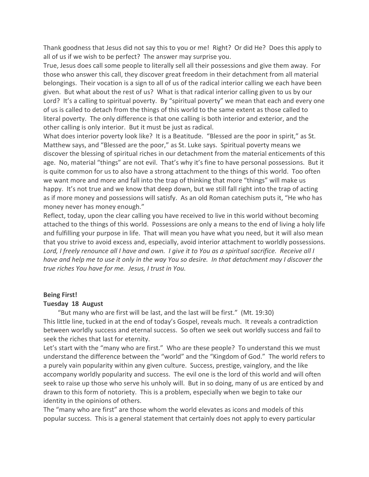Thank goodness that Jesus did not say this to you or me! Right? Or did He? Does this apply to all of us if we wish to be perfect? The answer may surprise you.

True, Jesus does call some people to literally sell all their possessions and give them away. For those who answer this call, they discover great freedom in their detachment from all material belongings. Their vocation is a sign to all of us of the radical interior calling we each have been given. But what about the rest of us? What is that radical interior calling given to us by our Lord? It's a calling to spiritual poverty. By "spiritual poverty" we mean that each and every one of us is called to detach from the things of this world to the same extent as those called to literal poverty. The only difference is that one calling is both interior and exterior, and the other calling is only interior. But it must be just as radical.

What does interior poverty look like? It is a Beatitude. "Blessed are the poor in spirit," as St. Matthew says, and "Blessed are the poor," as St. Luke says. Spiritual poverty means we discover the blessing of spiritual riches in our detachment from the material enticements of this age. No, material "things" are not evil. That's why it's fine to have personal possessions. But it is quite common for us to also have a strong attachment to the things of this world. Too often we want more and more and fall into the trap of thinking that more "things" will make us happy. It's not true and we know that deep down, but we still fall right into the trap of acting as if more money and possessions will satisfy. As an old Roman catechism puts it, "He who has money never has money enough."

Reflect, today, upon the clear calling you have received to live in this world without becoming attached to the things of this world. Possessions are only a means to the end of living a holy life and fulfilling your purpose in life. That will mean you have what you need, but it will also mean that you strive to avoid excess and, especially, avoid interior attachment to worldly possessions. Lord, I freely renounce all I have and own. I give it to You as a spiritual sacrifice. Receive all I have and help me to use it only in the way You so desire. In that detachment may I discover the *true riches You have for me. Jesus, I trust in You.*

#### **Being First!**

#### **Tuesday 18 August**

"But many who are first will be last, and the last will be first." (Mt. 19:30) This little line, tucked in at the end of today's Gospel, reveals much. It reveals a contradiction between worldly success and eternal success. So often we seek out worldly success and fail to seek the riches that last for eternity.

Let's start with the "many who are first." Who are these people? To understand this we must understand the difference between the "world" and the "Kingdom of God." The world refers to a purely vain popularity within any given culture. Success, prestige, vainglory, and the like accompany worldly popularity and success. The evil one is the lord of this world and will often seek to raise up those who serve his unholy will. But in so doing, many of us are enticed by and drawn to this form of notoriety. This is a problem, especially when we begin to take our identity in the opinions of others.

The "many who are first" are those whom the world elevates as icons and models of this popular success. This is a general statement that certainly does not apply to every particular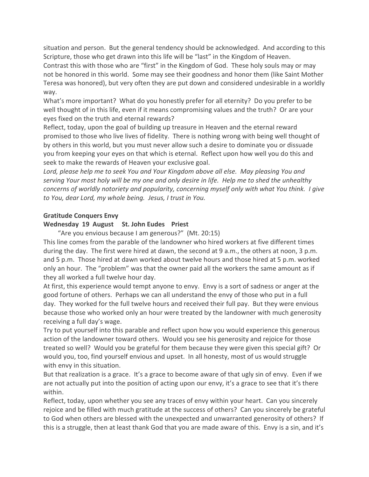situation and person. But the general tendency should be acknowledged. And according to this Scripture, those who get drawn into this life will be "last" in the Kingdom of Heaven. Contrast this with those who are "first" in the Kingdom of God. These holy souls may or may not be honored in this world. Some may see their goodness and honor them (like Saint Mother Teresa was honored), but very often they are put down and considered undesirable in a worldly way.

What's more important? What do you honestly prefer for all eternity? Do you prefer to be well thought of in this life, even if it means compromising values and the truth? Or are your eyes fixed on the truth and eternal rewards?

Reflect, today, upon the goal of building up treasure in Heaven and the eternal reward promised to those who live lives of fidelity. There is nothing wrong with being well thought of by others in this world, but you must never allow such a desire to dominate you or dissuade you from keeping your eyes on that which is eternal. Reflect upon how well you do this and seek to make the rewards of Heaven your exclusive goal.

*Lord, please help me to seek You and Your Kingdom above all else. May pleasing You and* serving Your most holy will be my one and only desire in life. Help me to shed the unhealthy *concerns of worldly notoriety and popularity, concerning myself only with what You think. I give to You, dear Lord, my whole being. Jesus, I trust in You.*

### **Gratitude Conquers Envy**

### **Wednesday 19 August St. John Eudes Priest**

"Are you envious because I am generous?" (Mt. 20:15) This line comes from the parable of the landowner who hired workers at five different times during the day. The first were hired at dawn, the second at 9 a.m., the others at noon, 3 p.m. and 5 p.m. Those hired at dawn worked about twelve hours and those hired at 5 p.m. worked only an hour. The "problem" was that the owner paid all the workers the same amount as if they all worked a full twelve hour day.

At first, this experience would tempt anyone to envy. Envy is a sort of sadness or anger at the good fortune of others. Perhaps we can all understand the envy of those who put in a full day. They worked for the full twelve hours and received their full pay. But they were envious because those who worked only an hour were treated by the landowner with much generosity receiving a full day's wage.

Try to put yourself into this parable and reflect upon how you would experience this generous action of the landowner toward others. Would you see his generosity and rejoice for those treated so well? Would you be grateful for them because they were given this special gift? Or would you, too, find yourself envious and upset. In all honesty, most of us would struggle with envy in this situation.

But that realization is a grace. It's a grace to become aware of that ugly sin of envy. Even if we are not actually put into the position of acting upon our envy, it's a grace to see that it's there within.

Reflect, today, upon whether you see any traces of envy within your heart. Can you sincerely rejoice and be filled with much gratitude at the success of others? Can you sincerely be grateful to God when others are blessed with the unexpected and unwarranted generosity of others? If this is a struggle, then at least thank God that you are made aware of this. Envy is a sin, and it's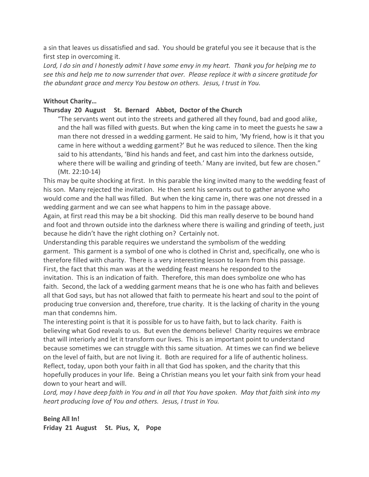a sin that leaves us dissatisfied and sad. You should be grateful you see it because that is the first step in overcoming it.

Lord, I do sin and I honestly admit I have some envy in my heart. Thank you for helping me to *see this and help me to now surrender that over. Please replace it with a sincere gratitude for the abundant grace and mercy You bestow on others. Jesus, I trust in You.*

## **Without Charity…**

### **Thursday 20 August St. Bernard Abbot, Doctor of the Church**

"The servants went out into the streets and gathered all they found, bad and good alike, and the hall was filled with guests. But when the king came in to meet the guests he saw a man there not dressed in a wedding garment. He said to him, 'My friend, how is it that you came in here without a wedding garment?' But he was reduced to silence. Then the king said to his attendants, 'Bind his hands and feet, and cast him into the darkness outside, where there will be wailing and grinding of teeth.' Many are invited, but few are chosen." (Mt. 22:10-14)

This may be quite shocking at first. In this parable the king invited many to the wedding feast of his son. Many rejected the invitation. He then sent his servants out to gather anyone who would come and the hall was filled. But when the king came in, there was one not dressed in a wedding garment and we can see what happens to him in the passage above.

Again, at first read this may be a bit shocking. Did this man really deserve to be bound hand and foot and thrown outside into the darkness where there is wailing and grinding of teeth, just because he didn't have the right clothing on? Certainly not.

Understanding this parable requires we understand the symbolism of the wedding garment. This garment is a symbol of one who is clothed in Christ and, specifically, one who is therefore filled with charity. There is a very interesting lesson to learn from this passage. First, the fact that this man was at the wedding feast means he responded to the invitation. This is an indication of faith. Therefore, this man does symbolize one who has faith. Second, the lack of a wedding garment means that he is one who has faith and believes all that God says, but has not allowed that faith to permeate his heart and soul to the point of producing true conversion and, therefore, true charity. It is the lacking of charity in the young man that condemns him.

The interesting point is that it is possible for us to have faith, but to lack charity. Faith is believing what God reveals to us. But even the demons believe! Charity requires we embrace that will interiorly and let it transform our lives. This is an important point to understand because sometimes we can struggle with this same situation. At times we can find we believe on the level of faith, but are not living it. Both are required for a life of authentic holiness. Reflect, today, upon both your faith in all that God has spoken, and the charity that this hopefully produces in your life. Being a Christian means you let your faith sink from your head down to your heart and will.

Lord, may I have deep faith in You and in all that You have spoken. May that faith sink into my *heart producing love of You and others. Jesus, I trust in You.*

## **Being All In! Friday 21 August St. Pius, X, Pope**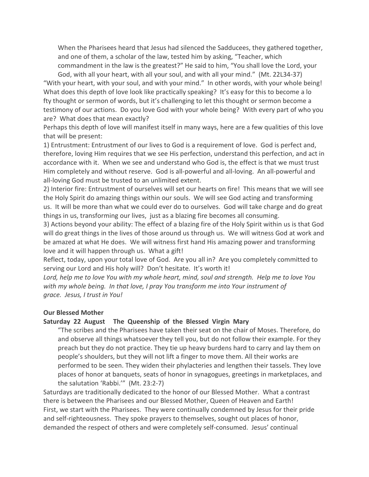When the Pharisees heard that Jesus had silenced the Sadducees, they gathered together, and one of them, a scholar of the law, tested him by asking, "Teacher, which commandment in the law is the greatest?" He said to him, "You shall love the Lord, your

God, with all your heart, with all your soul, and with all your mind." (Mt. 22L34-37) "With your heart, with your soul, and with your mind." In other words, with your whole being! What does this depth of love look like practically speaking? It's easy for this to become a lo fty thought or sermon of words, but it's challenging to let this thought or sermon become a testimony of our actions. Do you love God with your whole being? With every part of who you are? What does that mean exactly?

Perhaps this depth of love will manifest itself in many ways, here are a few qualities of this love that will be present:

1) Entrustment: Entrustment of our lives to God is a requirement of love. God is perfect and, therefore, loving Him requires that we see His perfection, understand this perfection, and act in accordance with it. When we see and understand who God is, the effect is that we must trust Him completely and without reserve. God is all-powerful and all-loving. An all-powerful and all-loving God must be trusted to an unlimited extent.

2) Interior fire: Entrustment of ourselves will set our hearts on fire! This means that we will see the Holy Spirit do amazing things within our souls. We will see God acting and transforming us. It will be more than what we could ever do to ourselves. God will take charge and do great things in us, transforming our lives, just as a blazing fire becomes all consuming.

3) Actions beyond your ability: The effect of a blazing fire of the Holy Spirit within us is that God will do great things in the lives of those around us through us. We will witness God at work and be amazed at what He does. We will witness first hand His amazing power and transforming love and it will happen through us. What a gift!

Reflect, today, upon your total love of God. Are you all in? Are you completely committed to serving our Lord and His holy will? Don't hesitate. It's worth it!

*Lord, help me to love You with my whole heart, mind, soul and strength. Help me to love You with my whole being. In that love, I pray You transform me into Your instrument of grace. Jesus, I trust in You!*

#### **Our Blessed Mother**

#### **Saturday 22 August The Queenship of the Blessed Virgin Mary**

"The scribes and the Pharisees have taken their seat on the chair of Moses. Therefore, do and observe all things whatsoever they tell you, but do not follow their example. For they preach but they do not practice. They tie up heavy burdens hard to carry and lay them on people's shoulders, but they will not lift a finger to move them. All their works are performed to be seen. They widen their phylacteries and lengthen their tassels. They love places of honor at banquets, seats of honor in synagogues, greetings in marketplaces, and the salutation 'Rabbi.'" (Mt. 23:2-7)

Saturdays are traditionally dedicated to the honor of our Blessed Mother. What a contrast there is between the Pharisees and our Blessed Mother, Queen of Heaven and Earth! First, we start with the Pharisees. They were continually condemned by Jesus for their pride and self-righteousness. They spoke prayers to themselves, sought out places of honor, demanded the respect of others and were completely self-consumed. Jesus' continual